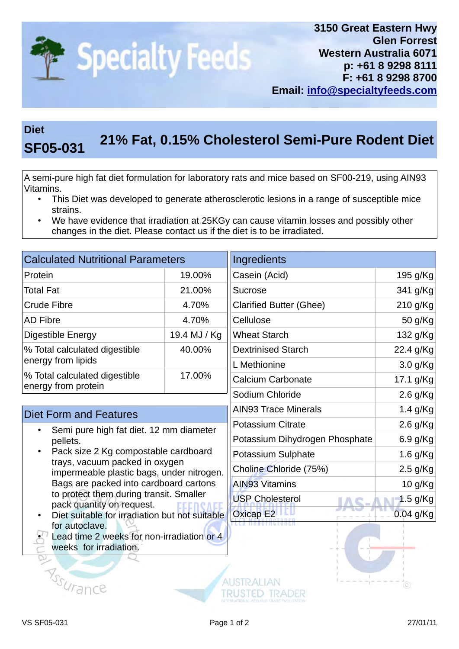

## **Diet 21% Fat, 0.15% Cholesterol Semi-Pure Rodent Diet SF05-031**

A semi-pure high fat diet formulation for laboratory rats and mice based on SF00-219, using AIN93 Vitamins.

- This Diet was developed to generate atherosclerotic lesions in a range of susceptible mice strains.
- We have evidence that irradiation at 25KGy can cause vitamin losses and possibly other changes in the diet. Please contact us if the diet is to be irradiated.

| <b>Calculated Nutritional Parameters</b>                                                                                                                                                                                                                                                                                                       |              | Ingredients                    |            |
|------------------------------------------------------------------------------------------------------------------------------------------------------------------------------------------------------------------------------------------------------------------------------------------------------------------------------------------------|--------------|--------------------------------|------------|
| Protein                                                                                                                                                                                                                                                                                                                                        | 19.00%       | Casein (Acid)                  | 195 g/Kg   |
| <b>Total Fat</b>                                                                                                                                                                                                                                                                                                                               | 21.00%       | <b>Sucrose</b>                 | 341 g/Kg   |
| <b>Crude Fibre</b>                                                                                                                                                                                                                                                                                                                             | 4.70%        | <b>Clarified Butter (Ghee)</b> | 210 g/Kg   |
| <b>AD Fibre</b>                                                                                                                                                                                                                                                                                                                                | 4.70%        | Cellulose                      | 50 g/Kg    |
| Digestible Energy                                                                                                                                                                                                                                                                                                                              | 19.4 MJ / Kg | <b>Wheat Starch</b>            | 132 g/Kg   |
| % Total calculated digestible<br>energy from lipids                                                                                                                                                                                                                                                                                            | 40.00%       | <b>Dextrinised Starch</b>      | 22.4 g/Kg  |
|                                                                                                                                                                                                                                                                                                                                                |              | L Methionine                   | 3.0 g/Kg   |
| % Total calculated digestible<br>energy from protein                                                                                                                                                                                                                                                                                           | 17.00%       | <b>Calcium Carbonate</b>       | 17.1 g/Kg  |
|                                                                                                                                                                                                                                                                                                                                                |              | Sodium Chloride                | 2.6 g/Kg   |
| <b>Diet Form and Features</b>                                                                                                                                                                                                                                                                                                                  |              | <b>AIN93 Trace Minerals</b>    | 1.4 g/Kg   |
| Semi pure high fat diet. 12 mm diameter<br>pellets.<br>Pack size 2 Kg compostable cardboard<br>trays, vacuum packed in oxygen<br>impermeable plastic bags, under nitrogen.<br>Bags are packed into cardboard cartons<br>to protect them during transit. Smaller<br>pack quantity on request.<br>Diet suitable for irradiation but not suitable |              | <b>Potassium Citrate</b>       | 2.6 g/Kg   |
|                                                                                                                                                                                                                                                                                                                                                |              | Potassium Dihydrogen Phosphate | 6.9 g/Kg   |
|                                                                                                                                                                                                                                                                                                                                                |              | Potassium Sulphate             | 1.6 g/Kg   |
|                                                                                                                                                                                                                                                                                                                                                |              | Choline Chloride (75%)         | 2.5 g/Kg   |
|                                                                                                                                                                                                                                                                                                                                                |              | <b>AIN93 Vitamins</b>          | 10 g/Kg    |
|                                                                                                                                                                                                                                                                                                                                                |              | <b>USP Cholesterol</b>         | $1.5$ g/Kg |
|                                                                                                                                                                                                                                                                                                                                                |              | <b>Oxicap E2</b>               | 0.04 g/Kg  |
| for autoclave.<br>Lead time 2 weeks for non-irradiation or 4<br>weeks for irradiation.                                                                                                                                                                                                                                                         |              |                                |            |
|                                                                                                                                                                                                                                                                                                                                                |              |                                |            |
| <b>Assuran</b>                                                                                                                                                                                                                                                                                                                                 |              |                                | (C)        |